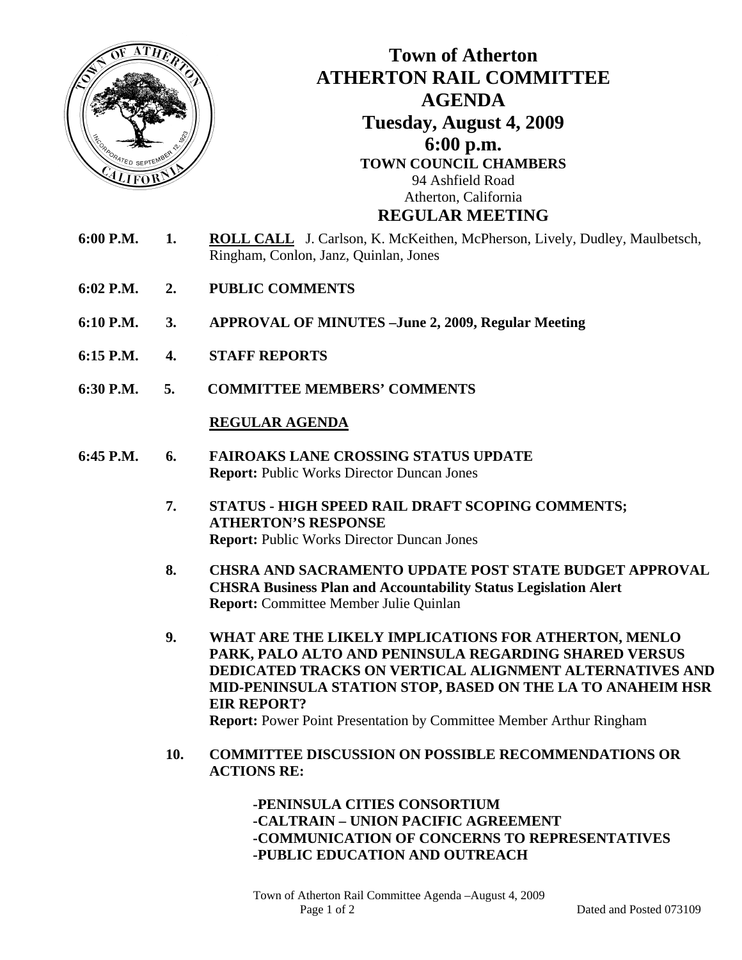

**6:30 P.M. 5. COMMITTEE MEMBERS' COMMENTS** 

## **REGULAR AGENDA**

- **6:45 P.M. 6. FAIROAKS LANE CROSSING STATUS UPDATE Report:** Public Works Director Duncan Jones
	- **7. STATUS HIGH SPEED RAIL DRAFT SCOPING COMMENTS; ATHERTON'S RESPONSE Report:** Public Works Director Duncan Jones
	- **8. CHSRA AND SACRAMENTO UPDATE POST STATE BUDGET APPROVAL CHSRA Business Plan and Accountability Status Legislation Alert Report:** Committee Member Julie Quinlan
	- **9. WHAT ARE THE LIKELY IMPLICATIONS FOR ATHERTON, MENLO PARK, PALO ALTO AND PENINSULA REGARDING SHARED VERSUS DEDICATED TRACKS ON VERTICAL ALIGNMENT ALTERNATIVES AND MID-PENINSULA STATION STOP, BASED ON THE LA TO ANAHEIM HSR EIR REPORT? Report:** Power Point Presentation by Committee Member Arthur Ringham
	- **10. COMMITTEE DISCUSSION ON POSSIBLE RECOMMENDATIONS OR ACTIONS RE:**

 **-PENINSULA CITIES CONSORTIUM -CALTRAIN – UNION PACIFIC AGREEMENT -COMMUNICATION OF CONCERNS TO REPRESENTATIVES -PUBLIC EDUCATION AND OUTREACH**